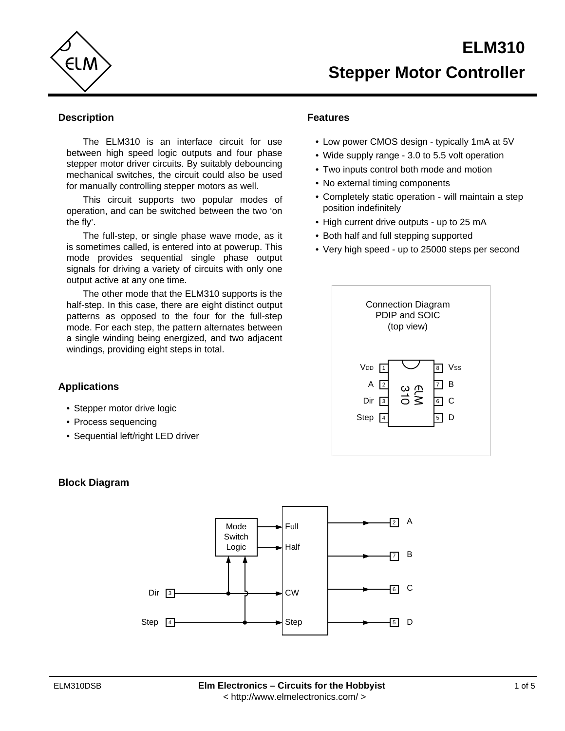

## **Description**

The ELM310 is an interface circuit for use between high speed logic outputs and four phase stepper motor driver circuits. By suitably debouncing mechanical switches, the circuit could also be used for manually controlling stepper motors as well.

This circuit supports two popular modes of operation, and can be switched between the two 'on the fly'.

The full-step, or single phase wave mode, as it is sometimes called, is entered into at powerup. This mode provides sequential single phase output signals for driving a variety of circuits with only one output active at any one time.

The other mode that the ELM310 supports is the half-step. In this case, there are eight distinct output patterns as opposed to the four for the full-step mode. For each step, the pattern alternates between a single winding being energized, and two adjacent windings, providing eight steps in total.

# **Features**

- Low power CMOS design typically 1mA at 5V
- Wide supply range 3.0 to 5.5 volt operation
- Two inputs control both mode and motion
- No external timing components
- Completely static operation will maintain a step position indefinitely
- High current drive outputs up to 25 mA
- Both half and full stepping supported
- Very high speed up to 25000 steps per second



# **Applications**

- Stepper motor drive logic
- Process sequencing
- Sequential left/right LED driver

# **Block Diagram**

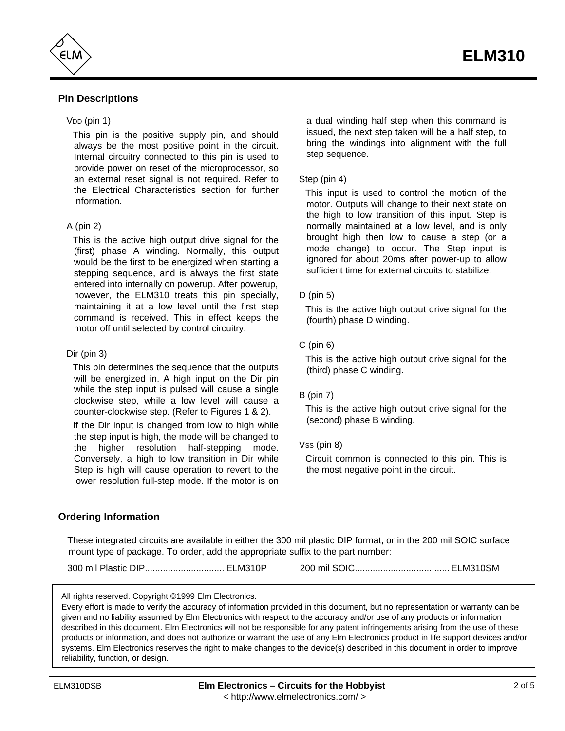

## **Pin Descriptions**

#### $VDD$  (pin 1)

This pin is the positive supply pin, and should always be the most positive point in the circuit. Internal circuitry connected to this pin is used to provide power on reset of the microprocessor, so an external reset signal is not required. Refer to the Electrical Characteristics section for further information.

#### A (pin 2)

This is the active high output drive signal for the (first) phase A winding. Normally, this output would be the first to be energized when starting a stepping sequence, and is always the first state entered into internally on powerup. After powerup, however, the ELM310 treats this pin specially, maintaining it at a low level until the first step command is received. This in effect keeps the motor off until selected by control circuitry.

#### Dir (pin 3)

This pin determines the sequence that the outputs will be energized in. A high input on the Dir pin while the step input is pulsed will cause a single clockwise step, while a low level will cause a counter-clockwise step. (Refer to Figures 1 & 2).

If the Dir input is changed from low to high while the step input is high, the mode will be changed to the higher resolution half-stepping mode. Conversely, a high to low transition in Dir while Step is high will cause operation to revert to the lower resolution full-step mode. If the motor is on

a dual winding half step when this command is issued, the next step taken will be a half step, to bring the windings into alignment with the full step sequence.

#### Step (pin 4)

This input is used to control the motion of the motor. Outputs will change to their next state on the high to low transition of this input. Step is normally maintained at a low level, and is only brought high then low to cause a step (or a mode change) to occur. The Step input is ignored for about 20ms after power-up to allow sufficient time for external circuits to stabilize.

#### D (pin 5)

This is the active high output drive signal for the (fourth) phase D winding.

#### $C$  (pin  $6$ )

This is the active high output drive signal for the (third) phase C winding.

#### B (pin 7)

This is the active high output drive signal for the (second) phase B winding.

#### $V$ ss (pin 8)

Circuit common is connected to this pin. This is the most negative point in the circuit.

### **Ordering Information**

These integrated circuits are available in either the 300 mil plastic DIP format, or in the 200 mil SOIC surface mount type of package. To order, add the appropriate suffix to the part number:

300 mil Plastic DIP............................... ELM310P 200 mil SOIC..................................... ELM310SM

All rights reserved. Copyright ©1999 Elm Electronics.

Every effort is made to verify the accuracy of information provided in this document, but no representation or warranty can be given and no liability assumed by Elm Electronics with respect to the accuracy and/or use of any products or information described in this document. Elm Electronics will not be responsible for any patent infringements arising from the use of these products or information, and does not authorize or warrant the use of any Elm Electronics product in life support devices and/or systems. Elm Electronics reserves the right to make changes to the device(s) described in this document in order to improve reliability, function, or design.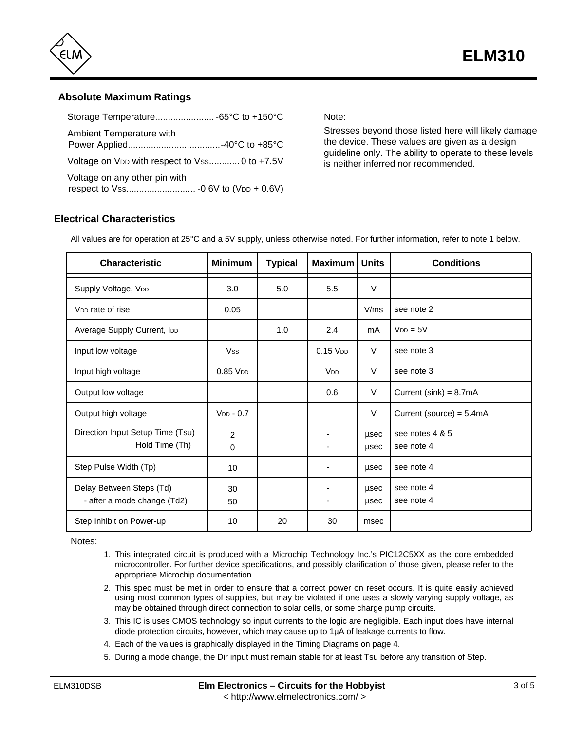

## **Absolute Maximum Ratings**

| Ambient Temperature with                                  |  |
|-----------------------------------------------------------|--|
| Voltage on V <sub>DD</sub> with respect to Vss 0 to +7.5V |  |
| Voltage on any other pin with                             |  |

Note:

Stresses beyond those listed here will likely damage the device. These values are given as a design guideline only. The ability to operate to these levels is neither inferred nor recommended.

# **Electrical Characteristics**

| <b>Characteristic</b>                                   | <b>Minimum</b>   | <b>Typical</b> | Maximum   Units        |              | <b>Conditions</b>             |
|---------------------------------------------------------|------------------|----------------|------------------------|--------------|-------------------------------|
| Supply Voltage, VDD                                     | 3.0              | 5.0            | 5.5                    | $\vee$       |                               |
| V <sub>DD</sub> rate of rise                            | 0.05             |                |                        | V/ms         | see note 2                    |
| Average Supply Current, IDD                             |                  | 1.0            | 2.4                    | mA           | $V_{DD} = 5V$                 |
| Input low voltage                                       | <b>Vss</b>       |                | $0.15$ V <sub>DD</sub> | V            | see note 3                    |
| Input high voltage                                      | $0.85$ $VDD$     |                | V <sub>DD</sub>        | $\vee$       | see note 3                    |
| Output low voltage                                      |                  |                | 0.6                    | V            | Current (sink) = $8.7mA$      |
| Output high voltage                                     | $V_{DD} - 0.7$   |                |                        | V            | Current (source) = $5.4mA$    |
| Direction Input Setup Time (Tsu)<br>Hold Time (Th)      | 2<br>$\mathbf 0$ |                |                        | usec<br>usec | see notes 4 & 5<br>see note 4 |
| Step Pulse Width (Tp)                                   | 10               |                |                        | usec         | see note 4                    |
| Delay Between Steps (Td)<br>- after a mode change (Td2) | 30<br>50         |                |                        | usec<br>usec | see note 4<br>see note 4      |
| Step Inhibit on Power-up                                | 10               | 20             | 30                     | msec         |                               |

All values are for operation at 25°C and a 5V supply, unless otherwise noted. For further information, refer to note 1 below.

Notes:

- 1. This integrated circuit is produced with a Microchip Technology Inc.'s PIC12C5XX as the core embedded microcontroller. For further device specifications, and possibly clarification of those given, please refer to the appropriate Microchip documentation.
- 2. This spec must be met in order to ensure that a correct power on reset occurs. It is quite easily achieved using most common types of supplies, but may be violated if one uses a slowly varying supply voltage, as may be obtained through direct connection to solar cells, or some charge pump circuits.
- 3. This IC is uses CMOS technology so input currents to the logic are negligible. Each input does have internal diode protection circuits, however, which may cause up to 1µA of leakage currents to flow.
- 4. Each of the values is graphically displayed in the Timing Diagrams on page 4.
- 5. During a mode change, the Dir input must remain stable for at least Tsu before any transition of Step.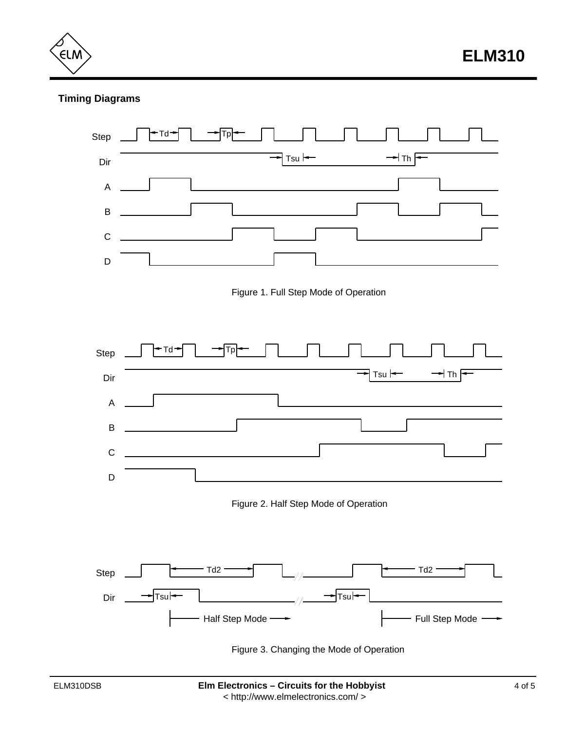ELN

# **Timing Diagrams**